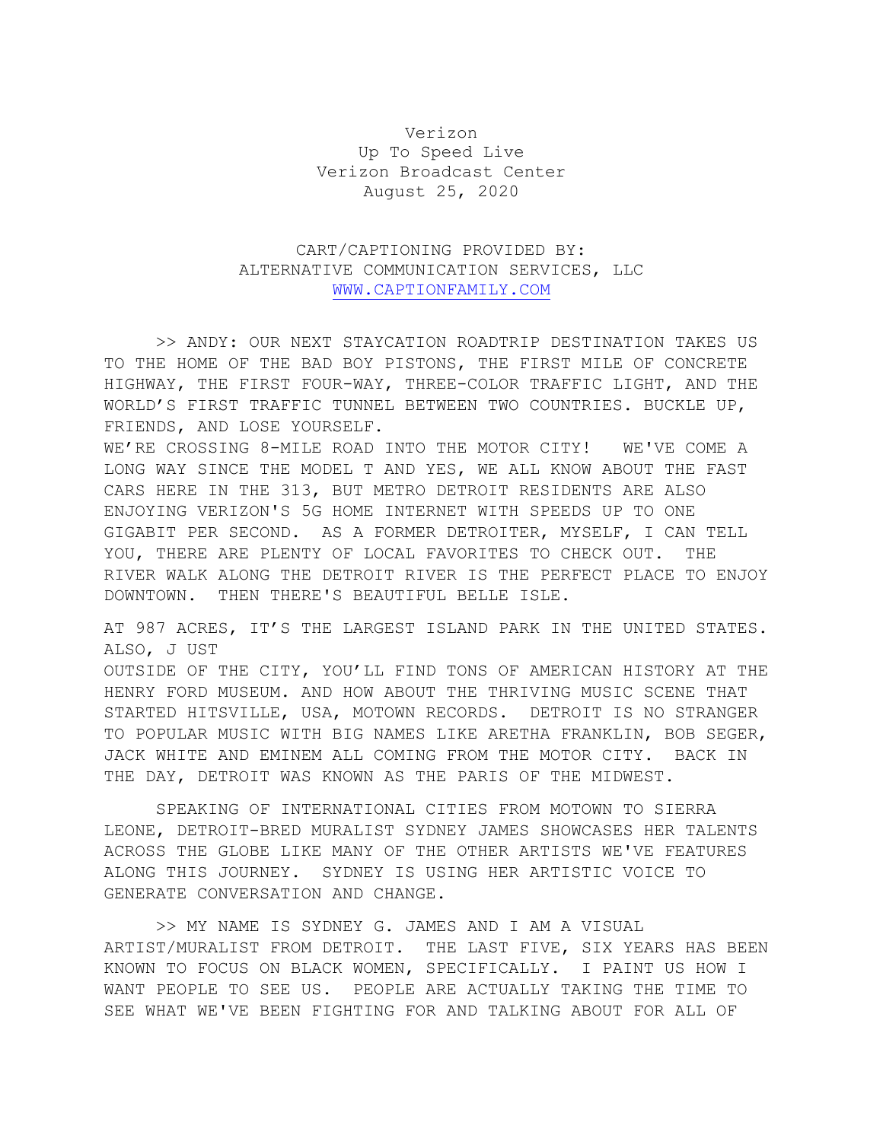## Verizon Up To Speed Live Verizon Broadcast Center August 25, 2020

## CART/CAPTIONING PROVIDED BY: ALTERNATIVE COMMUNICATION SERVICES, LLC [WWW.CAPTIONFAMILY.COM](http://www.captionfamily.com/)

>> ANDY: OUR NEXT STAYCATION ROADTRIP DESTINATION TAKES US TO THE HOME OF THE BAD BOY PISTONS, THE FIRST MILE OF CONCRETE HIGHWAY, THE FIRST FOUR-WAY, THREE-COLOR TRAFFIC LIGHT, AND THE WORLD'S FIRST TRAFFIC TUNNEL BETWEEN TWO COUNTRIES. BUCKLE UP, FRIENDS, AND LOSE YOURSELF.

WE'RE CROSSING 8-MILE ROAD INTO THE MOTOR CITY! WE'VE COME A LONG WAY SINCE THE MODEL T AND YES, WE ALL KNOW ABOUT THE FAST CARS HERE IN THE 313, BUT METRO DETROIT RESIDENTS ARE ALSO ENJOYING VERIZON'S 5G HOME INTERNET WITH SPEEDS UP TO ONE GIGABIT PER SECOND. AS A FORMER DETROITER, MYSELF, I CAN TELL YOU, THERE ARE PLENTY OF LOCAL FAVORITES TO CHECK OUT. THE RIVER WALK ALONG THE DETROIT RIVER IS THE PERFECT PLACE TO ENJOY DOWNTOWN. THEN THERE'S BEAUTIFUL BELLE ISLE.

AT 987 ACRES, IT'S THE LARGEST ISLAND PARK IN THE UNITED STATES. ALSO, J UST OUTSIDE OF THE CITY, YOU'LL FIND TONS OF AMERICAN HISTORY AT THE HENRY FORD MUSEUM. AND HOW ABOUT THE THRIVING MUSIC SCENE THAT STARTED HITSVILLE, USA, MOTOWN RECORDS. DETROIT IS NO STRANGER TO POPULAR MUSIC WITH BIG NAMES LIKE ARETHA FRANKLIN, BOB SEGER, JACK WHITE AND EMINEM ALL COMING FROM THE MOTOR CITY. BACK IN THE DAY, DETROIT WAS KNOWN AS THE PARIS OF THE MIDWEST.

SPEAKING OF INTERNATIONAL CITIES FROM MOTOWN TO SIERRA LEONE, DETROIT-BRED MURALIST SYDNEY JAMES SHOWCASES HER TALENTS ACROSS THE GLOBE LIKE MANY OF THE OTHER ARTISTS WE'VE FEATURES ALONG THIS JOURNEY. SYDNEY IS USING HER ARTISTIC VOICE TO GENERATE CONVERSATION AND CHANGE.

>> MY NAME IS SYDNEY G. JAMES AND I AM A VISUAL ARTIST/MURALIST FROM DETROIT. THE LAST FIVE, SIX YEARS HAS BEEN KNOWN TO FOCUS ON BLACK WOMEN, SPECIFICALLY. I PAINT US HOW I WANT PEOPLE TO SEE US. PEOPLE ARE ACTUALLY TAKING THE TIME TO SEE WHAT WE'VE BEEN FIGHTING FOR AND TALKING ABOUT FOR ALL OF